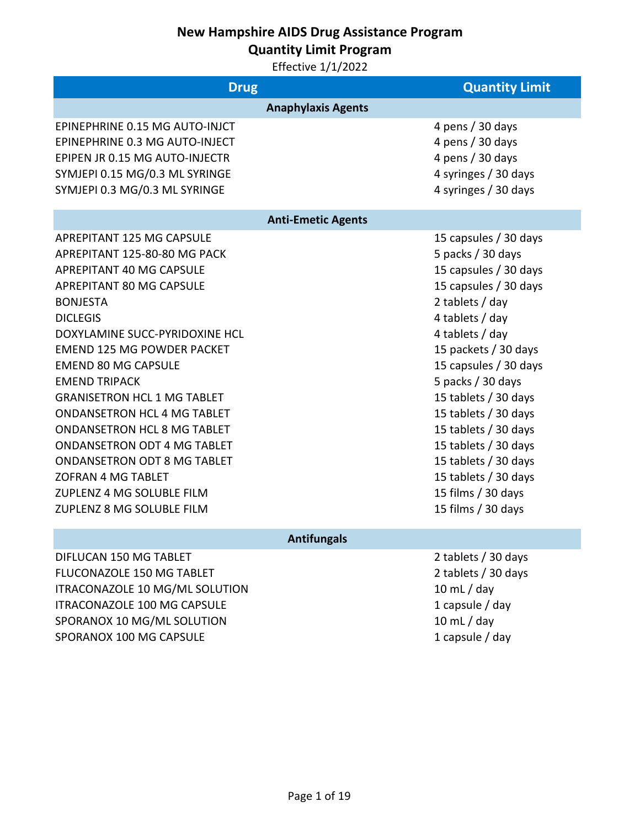**Quantity Limit Program**

Effective 1/1/2022

| <b>Drug</b>                                                                                                                                                                                                                                                                                                                                                                                                                                                                                                                                                                      |                           | <b>Quantity Limit</b>                                                                                                                                                                                                                                                                                                                                                                                                   |
|----------------------------------------------------------------------------------------------------------------------------------------------------------------------------------------------------------------------------------------------------------------------------------------------------------------------------------------------------------------------------------------------------------------------------------------------------------------------------------------------------------------------------------------------------------------------------------|---------------------------|-------------------------------------------------------------------------------------------------------------------------------------------------------------------------------------------------------------------------------------------------------------------------------------------------------------------------------------------------------------------------------------------------------------------------|
|                                                                                                                                                                                                                                                                                                                                                                                                                                                                                                                                                                                  | <b>Anaphylaxis Agents</b> |                                                                                                                                                                                                                                                                                                                                                                                                                         |
| EPINEPHRINE 0.15 MG AUTO-INJCT<br>EPINEPHRINE 0.3 MG AUTO-INJECT<br>EPIPEN JR 0.15 MG AUTO-INJECTR<br>SYMJEPI 0.15 MG/0.3 ML SYRINGE<br>SYMJEPI 0.3 MG/0.3 ML SYRINGE                                                                                                                                                                                                                                                                                                                                                                                                            |                           | 4 pens / 30 days<br>4 pens / 30 days<br>4 pens / 30 days<br>4 syringes / 30 days<br>4 syringes / 30 days                                                                                                                                                                                                                                                                                                                |
|                                                                                                                                                                                                                                                                                                                                                                                                                                                                                                                                                                                  | <b>Anti-Emetic Agents</b> |                                                                                                                                                                                                                                                                                                                                                                                                                         |
| <b>APREPITANT 125 MG CAPSULE</b><br>APREPITANT 125-80-80 MG PACK<br>APREPITANT 40 MG CAPSULE<br>APREPITANT 80 MG CAPSULE<br><b>BONJESTA</b><br><b>DICLEGIS</b><br>DOXYLAMINE SUCC-PYRIDOXINE HCL<br><b>EMEND 125 MG POWDER PACKET</b><br><b>EMEND 80 MG CAPSULE</b><br><b>EMEND TRIPACK</b><br><b>GRANISETRON HCL 1 MG TABLET</b><br><b>ONDANSETRON HCL 4 MG TABLET</b><br><b>ONDANSETRON HCL 8 MG TABLET</b><br><b>ONDANSETRON ODT 4 MG TABLET</b><br><b>ONDANSETRON ODT 8 MG TABLET</b><br><b>ZOFRAN 4 MG TABLET</b><br>ZUPLENZ 4 MG SOLUBLE FILM<br>ZUPLENZ 8 MG SOLUBLE FILM |                           | 15 capsules / 30 days<br>5 packs / 30 days<br>15 capsules / 30 days<br>15 capsules / 30 days<br>2 tablets / day<br>4 tablets / day<br>4 tablets / day<br>15 packets / 30 days<br>15 capsules / 30 days<br>5 packs / 30 days<br>15 tablets / 30 days<br>15 tablets / 30 days<br>15 tablets / 30 days<br>15 tablets / 30 days<br>15 tablets / 30 days<br>15 tablets / 30 days<br>15 films / 30 days<br>15 films / 30 days |
|                                                                                                                                                                                                                                                                                                                                                                                                                                                                                                                                                                                  | <b>Antifungals</b>        |                                                                                                                                                                                                                                                                                                                                                                                                                         |
| DIFLUCAN 150 MG TABLET                                                                                                                                                                                                                                                                                                                                                                                                                                                                                                                                                           |                           | 2 tablets / 30 days                                                                                                                                                                                                                                                                                                                                                                                                     |

FLUCONAZOLE 150 MG TABLET 2 tablets / 30 days ITRACONAZOLE 10 MG/ML SOLUTION 10 mL / day ITRACONAZOLE 100 MG CAPSULE 1 capsule / day SPORANOX 10 MG/ML SOLUTION 10 mL / day SPORANOX 100 MG CAPSULE 1 capsule / day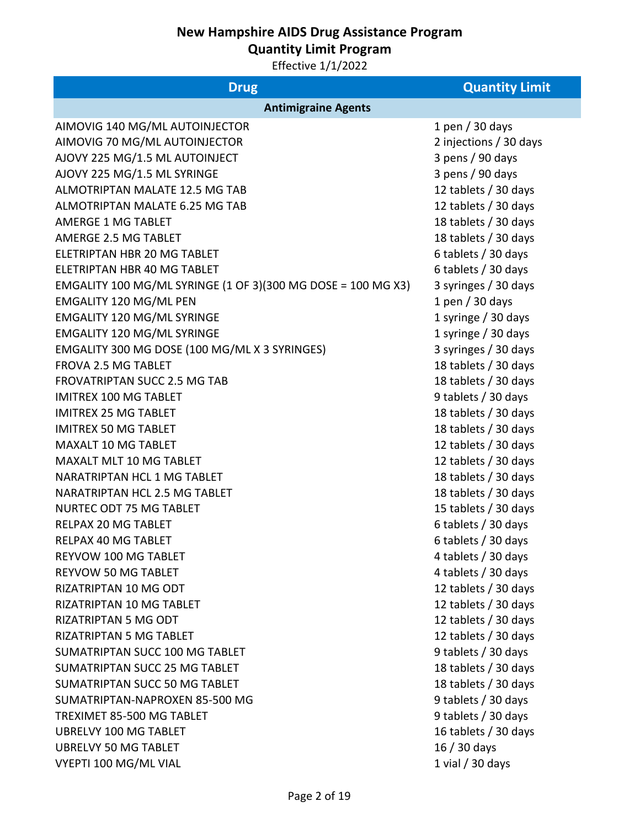**Quantity Limit Program**

| <b>Drug</b>                                                  | <b>Quantity Limit</b>  |
|--------------------------------------------------------------|------------------------|
| <b>Antimigraine Agents</b>                                   |                        |
| AIMOVIG 140 MG/ML AUTOINJECTOR                               | 1 pen $/$ 30 days      |
| AIMOVIG 70 MG/ML AUTOINJECTOR                                | 2 injections / 30 days |
| AJOVY 225 MG/1.5 ML AUTOINJECT                               | 3 pens / 90 days       |
| AJOVY 225 MG/1.5 ML SYRINGE                                  | 3 pens / 90 days       |
| ALMOTRIPTAN MALATE 12.5 MG TAB                               | 12 tablets / 30 days   |
| ALMOTRIPTAN MALATE 6.25 MG TAB                               | 12 tablets / 30 days   |
| <b>AMERGE 1 MG TABLET</b>                                    | 18 tablets / 30 days   |
| AMERGE 2.5 MG TABLET                                         | 18 tablets / 30 days   |
| ELETRIPTAN HBR 20 MG TABLET                                  | 6 tablets / 30 days    |
| ELETRIPTAN HBR 40 MG TABLET                                  | 6 tablets / 30 days    |
| EMGALITY 100 MG/ML SYRINGE (1 OF 3)(300 MG DOSE = 100 MG X3) | 3 syringes / 30 days   |
| EMGALITY 120 MG/ML PEN                                       | 1 pen $/$ 30 days      |
| <b>EMGALITY 120 MG/ML SYRINGE</b>                            | 1 syringe / 30 days    |
| <b>EMGALITY 120 MG/ML SYRINGE</b>                            | 1 syringe / 30 days    |
| EMGALITY 300 MG DOSE (100 MG/ML X 3 SYRINGES)                | 3 syringes / 30 days   |
| FROVA 2.5 MG TABLET                                          | 18 tablets / 30 days   |
| <b>FROVATRIPTAN SUCC 2.5 MG TAB</b>                          | 18 tablets / 30 days   |
| <b>IMITREX 100 MG TABLET</b>                                 | 9 tablets / 30 days    |
| <b>IMITREX 25 MG TABLET</b>                                  | 18 tablets / 30 days   |
| <b>IMITREX 50 MG TABLET</b>                                  | 18 tablets / 30 days   |
| <b>MAXALT 10 MG TABLET</b>                                   | 12 tablets / 30 days   |
| <b>MAXALT MLT 10 MG TABLET</b>                               | 12 tablets / 30 days   |
| NARATRIPTAN HCL 1 MG TABLET                                  | 18 tablets / 30 days   |
| NARATRIPTAN HCL 2.5 MG TABLET                                | 18 tablets / 30 days   |
| <b>NURTEC ODT 75 MG TABLET</b>                               | 15 tablets / 30 days   |
| <b>RELPAX 20 MG TABLET</b>                                   | 6 tablets / 30 days    |
| <b>RELPAX 40 MG TABLET</b>                                   | 6 tablets / 30 days    |
| REYVOW 100 MG TABLET                                         | 4 tablets / 30 days    |
| <b>REYVOW 50 MG TABLET</b>                                   | 4 tablets / 30 days    |
| RIZATRIPTAN 10 MG ODT                                        | 12 tablets / 30 days   |
| RIZATRIPTAN 10 MG TABLET                                     | 12 tablets / 30 days   |
| <b>RIZATRIPTAN 5 MG ODT</b>                                  | 12 tablets / 30 days   |
| <b>RIZATRIPTAN 5 MG TABLET</b>                               | 12 tablets / 30 days   |
| SUMATRIPTAN SUCC 100 MG TABLET                               | 9 tablets / 30 days    |
| SUMATRIPTAN SUCC 25 MG TABLET                                | 18 tablets / 30 days   |
| SUMATRIPTAN SUCC 50 MG TABLET                                | 18 tablets / 30 days   |
| SUMATRIPTAN-NAPROXEN 85-500 MG                               | 9 tablets / 30 days    |
| TREXIMET 85-500 MG TABLET                                    | 9 tablets / 30 days    |
| <b>UBRELVY 100 MG TABLET</b>                                 | 16 tablets / 30 days   |
| <b>UBRELVY 50 MG TABLET</b>                                  | $16/30$ days           |
| VYEPTI 100 MG/ML VIAL                                        | 1 vial $/$ 30 days     |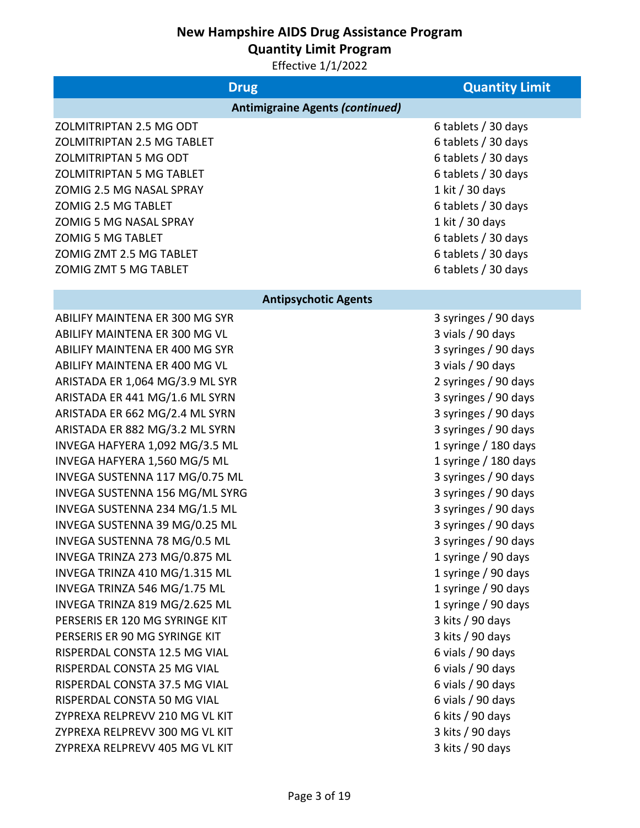**Quantity Limit Program**

| <b>Drug</b>                            | <b>Quantity Limit</b> |
|----------------------------------------|-----------------------|
| <b>Antimigraine Agents (continued)</b> |                       |
| ZOLMITRIPTAN 2.5 MG ODT                | 6 tablets / 30 days   |
| ZOLMITRIPTAN 2.5 MG TABLET             | 6 tablets / 30 days   |
| <b>ZOLMITRIPTAN 5 MG ODT</b>           | 6 tablets / 30 days   |
| <b>ZOLMITRIPTAN 5 MG TABLET</b>        | 6 tablets / 30 days   |
| ZOMIG 2.5 MG NASAL SPRAY               | 1 kit / 30 days       |
| ZOMIG 2.5 MG TABLET                    | 6 tablets / 30 days   |
| <b>ZOMIG 5 MG NASAL SPRAY</b>          | 1 kit / 30 days       |
| <b>ZOMIG 5 MG TABLET</b>               | 6 tablets / 30 days   |
| ZOMIG ZMT 2.5 MG TABLET                | 6 tablets / 30 days   |
| ZOMIG ZMT 5 MG TABLET                  | 6 tablets / 30 days   |
| <b>Antipsychotic Agents</b>            |                       |
| ABILIFY MAINTENA ER 300 MG SYR         | 3 syringes / 90 days  |
| ABILIFY MAINTENA ER 300 MG VL          | 3 vials / 90 days     |
| ABILIFY MAINTENA ER 400 MG SYR         | 3 syringes / 90 days  |
| ABILIFY MAINTENA ER 400 MG VL          | 3 vials / 90 days     |
| ARISTADA ER 1,064 MG/3.9 ML SYR        | 2 syringes / 90 days  |
| ARISTADA ER 441 MG/1.6 ML SYRN         | 3 syringes / 90 days  |
| ARISTADA ER 662 MG/2.4 ML SYRN         | 3 syringes / 90 days  |
| ARISTADA ER 882 MG/3.2 ML SYRN         | 3 syringes / 90 days  |
| INVEGA HAFYERA 1,092 MG/3.5 ML         | 1 syringe / 180 days  |
| INVEGA HAFYERA 1,560 MG/5 ML           | 1 syringe / 180 days  |
| INVEGA SUSTENNA 117 MG/0.75 ML         | 3 syringes / 90 days  |
| INVEGA SUSTENNA 156 MG/ML SYRG         | 3 syringes / 90 days  |
| INVEGA SUSTENNA 234 MG/1.5 ML          | 3 syringes / 90 days  |
| INVEGA SUSTENNA 39 MG/0.25 ML          | 3 syringes / 90 days  |
| INVEGA SUSTENNA 78 MG/0.5 ML           | 3 syringes / 90 days  |
| INVEGA TRINZA 273 MG/0.875 ML          | 1 syringe / 90 days   |
| INVEGA TRINZA 410 MG/1.315 ML          | 1 syringe / 90 days   |
| INVEGA TRINZA 546 MG/1.75 ML           | 1 syringe / 90 days   |
| INVEGA TRINZA 819 MG/2.625 ML          | 1 syringe / 90 days   |
| PERSERIS ER 120 MG SYRINGE KIT         | 3 kits / 90 days      |
| PERSERIS ER 90 MG SYRINGE KIT          | 3 kits / 90 days      |
| RISPERDAL CONSTA 12.5 MG VIAL          | 6 vials / 90 days     |
| RISPERDAL CONSTA 25 MG VIAL            | 6 vials / 90 days     |
| RISPERDAL CONSTA 37.5 MG VIAL          | 6 vials / 90 days     |
| RISPERDAL CONSTA 50 MG VIAL            | 6 vials / 90 days     |
| ZYPREXA RELPREVV 210 MG VL KIT         | 6 kits $/$ 90 days    |
| ZYPREXA RELPREVV 300 MG VL KIT         | 3 kits / 90 days      |
| ZYPREXA RELPREVV 405 MG VL KIT         | 3 kits / 90 days      |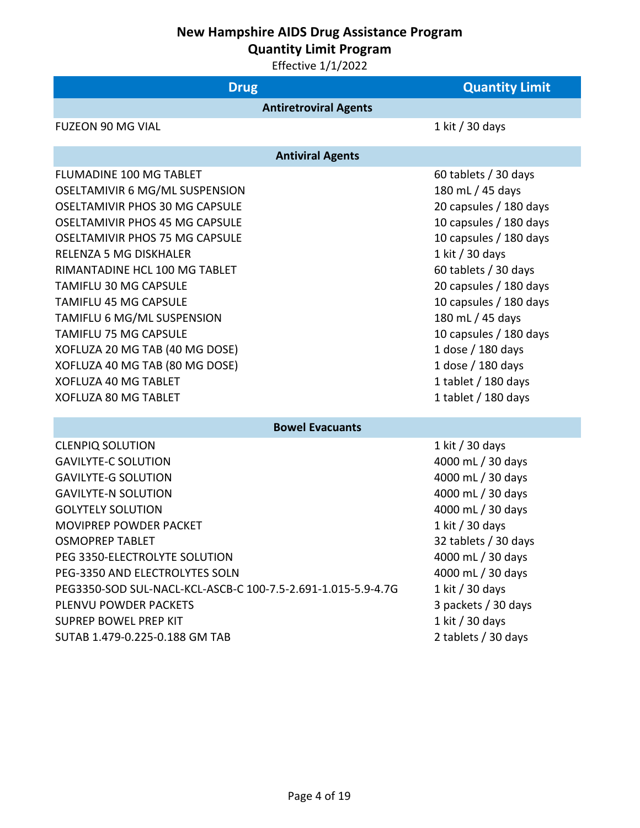**Quantity Limit Program**

| <b>Drug</b>                                                                                                                                                                                                                                                                                                                                                                                                                                                                                                     | <b>Quantity Limit</b>                                                                                                                                                                                                                                                                                                                                       |
|-----------------------------------------------------------------------------------------------------------------------------------------------------------------------------------------------------------------------------------------------------------------------------------------------------------------------------------------------------------------------------------------------------------------------------------------------------------------------------------------------------------------|-------------------------------------------------------------------------------------------------------------------------------------------------------------------------------------------------------------------------------------------------------------------------------------------------------------------------------------------------------------|
| <b>Antiretroviral Agents</b>                                                                                                                                                                                                                                                                                                                                                                                                                                                                                    |                                                                                                                                                                                                                                                                                                                                                             |
| <b>FUZEON 90 MG VIAL</b>                                                                                                                                                                                                                                                                                                                                                                                                                                                                                        | 1 kit / 30 days                                                                                                                                                                                                                                                                                                                                             |
| <b>Antiviral Agents</b>                                                                                                                                                                                                                                                                                                                                                                                                                                                                                         |                                                                                                                                                                                                                                                                                                                                                             |
| <b>FLUMADINE 100 MG TABLET</b><br>OSELTAMIVIR 6 MG/ML SUSPENSION<br><b>OSELTAMIVIR PHOS 30 MG CAPSULE</b><br><b>OSELTAMIVIR PHOS 45 MG CAPSULE</b><br><b>OSELTAMIVIR PHOS 75 MG CAPSULE</b><br><b>RELENZA 5 MG DISKHALER</b><br>RIMANTADINE HCL 100 MG TABLET<br><b>TAMIFLU 30 MG CAPSULE</b><br><b>TAMIFLU 45 MG CAPSULE</b><br>TAMIFLU 6 MG/ML SUSPENSION<br><b>TAMIFLU 75 MG CAPSULE</b><br>XOFLUZA 20 MG TAB (40 MG DOSE)<br>XOFLUZA 40 MG TAB (80 MG DOSE)<br>XOFLUZA 40 MG TABLET<br>XOFLUZA 80 MG TABLET | 60 tablets / 30 days<br>180 mL / 45 days<br>20 capsules / 180 days<br>10 capsules / 180 days<br>10 capsules / 180 days<br>1 kit / 30 days<br>60 tablets / 30 days<br>20 capsules / 180 days<br>10 capsules / 180 days<br>180 mL / 45 days<br>10 capsules / 180 days<br>1 dose / 180 days<br>1 dose / 180 days<br>1 tablet / 180 days<br>1 tablet / 180 days |
| <b>Bowel Evacuants</b>                                                                                                                                                                                                                                                                                                                                                                                                                                                                                          |                                                                                                                                                                                                                                                                                                                                                             |
| <b>CLENPIQ SOLUTION</b><br><b>GAVILYTE-C SOLUTION</b><br><b>GAVILYTE-G SOLUTION</b><br><b>GAVILYTE-N SOLUTION</b><br><b>GOLYTELY SOLUTION</b><br><b>MOVIPREP POWDER PACKET</b><br><b>OSMOPREP TABLET</b><br>PEG 3350-ELECTROLYTE SOLUTION<br>PEG-3350 AND ELECTROLYTES SOLN<br>PEG3350-SOD SUL-NACL-KCL-ASCB-C 100-7.5-2.691-1.015-5.9-4.7G<br>PLENVU POWDER PACKETS<br><b>SUPREP BOWEL PREP KIT</b><br>SUTAB 1.479-0.225-0.188 GM TAB                                                                          | 1 kit / 30 days<br>4000 mL / 30 days<br>4000 mL / 30 days<br>4000 mL / 30 days<br>4000 mL / 30 days<br>1 kit / 30 days<br>32 tablets / 30 days<br>4000 mL / 30 days<br>4000 mL / 30 days<br>1 kit / 30 days<br>3 packets / 30 days<br>1 kit / 30 days<br>2 tablets / 30 days                                                                                |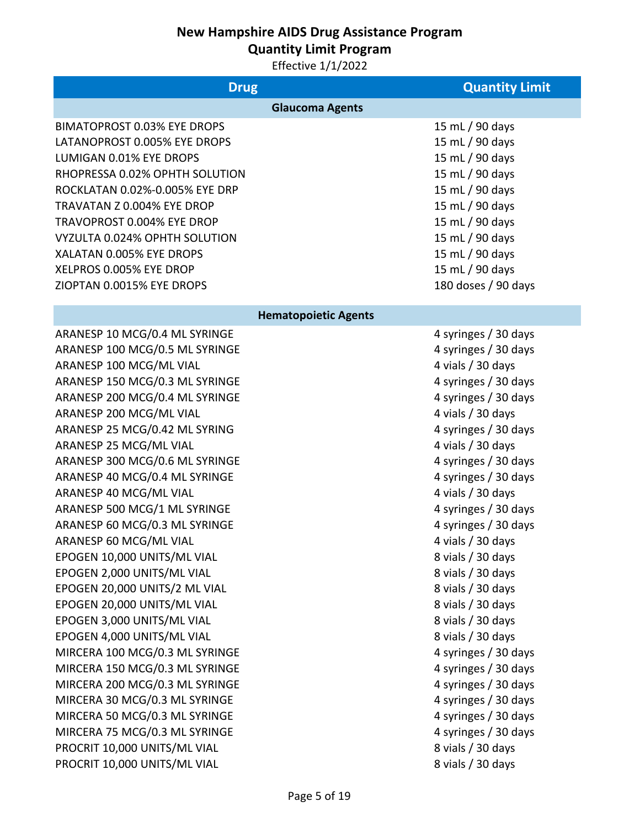**Quantity Limit Program**

| <b>Drug</b>                        | <b>Quantity Limit</b> |
|------------------------------------|-----------------------|
| <b>Glaucoma Agents</b>             |                       |
| <b>BIMATOPROST 0.03% EYE DROPS</b> | 15 mL / 90 days       |
| LATANOPROST 0.005% EYE DROPS       | 15 mL / 90 days       |
| LUMIGAN 0.01% EYE DROPS            | 15 mL / 90 days       |
| RHOPRESSA 0.02% OPHTH SOLUTION     | 15 mL / 90 days       |
| ROCKLATAN 0.02%-0.005% EYE DRP     | 15 mL / 90 days       |
| TRAVATAN Z 0.004% EYE DROP         | 15 mL / 90 days       |
| TRAVOPROST 0.004% EYE DROP         | 15 mL / 90 days       |
| VYZULTA 0.024% OPHTH SOLUTION      | 15 mL / 90 days       |
| XALATAN 0.005% EYE DROPS           | 15 mL / 90 days       |
| XELPROS 0.005% EYE DROP            | 15 mL / 90 days       |
| ZIOPTAN 0.0015% EYE DROPS          | 180 doses / 90 days   |
| <b>Hematopoietic Agents</b>        |                       |
| ARANESP 10 MCG/0.4 ML SYRINGE      | 4 syringes / 30 days  |
| ARANESP 100 MCG/0.5 ML SYRINGE     | 4 syringes / 30 days  |
| ARANESP 100 MCG/ML VIAL            | 4 vials / 30 days     |
| ARANESP 150 MCG/0.3 ML SYRINGE     | 4 syringes / 30 days  |
| ARANESP 200 MCG/0.4 ML SYRINGE     | 4 syringes / 30 days  |
| ARANESP 200 MCG/ML VIAL            | 4 vials / 30 days     |
| ARANESP 25 MCG/0.42 ML SYRING      | 4 syringes / 30 days  |
| ARANESP 25 MCG/ML VIAL             | 4 vials / 30 days     |
| ARANESP 300 MCG/0.6 ML SYRINGE     | 4 syringes / 30 days  |
| ARANESP 40 MCG/0.4 ML SYRINGE      | 4 syringes / 30 days  |
| ARANESP 40 MCG/ML VIAL             | 4 vials / 30 days     |
| ARANESP 500 MCG/1 ML SYRINGE       | 4 syringes / 30 days  |
| ARANESP 60 MCG/0.3 ML SYRINGE      | 4 syringes / 30 days  |
| ARANESP 60 MCG/ML VIAL             | 4 vials / 30 days     |
| EPOGEN 10,000 UNITS/ML VIAL        | 8 vials / 30 days     |
| EPOGEN 2,000 UNITS/ML VIAL         | 8 vials / 30 days     |
| EPOGEN 20,000 UNITS/2 ML VIAL      | 8 vials / 30 days     |
| EPOGEN 20,000 UNITS/ML VIAL        | 8 vials / 30 days     |
| EPOGEN 3,000 UNITS/ML VIAL         | 8 vials / 30 days     |
| EPOGEN 4,000 UNITS/ML VIAL         | 8 vials / 30 days     |
| MIRCERA 100 MCG/0.3 ML SYRINGE     | 4 syringes / 30 days  |
| MIRCERA 150 MCG/0.3 ML SYRINGE     | 4 syringes / 30 days  |
| MIRCERA 200 MCG/0.3 ML SYRINGE     | 4 syringes / 30 days  |
| MIRCERA 30 MCG/0.3 ML SYRINGE      | 4 syringes / 30 days  |
| MIRCERA 50 MCG/0.3 ML SYRINGE      | 4 syringes / 30 days  |
| MIRCERA 75 MCG/0.3 ML SYRINGE      | 4 syringes / 30 days  |
| PROCRIT 10,000 UNITS/ML VIAL       | 8 vials / 30 days     |
| PROCRIT 10,000 UNITS/ML VIAL       | 8 vials / 30 days     |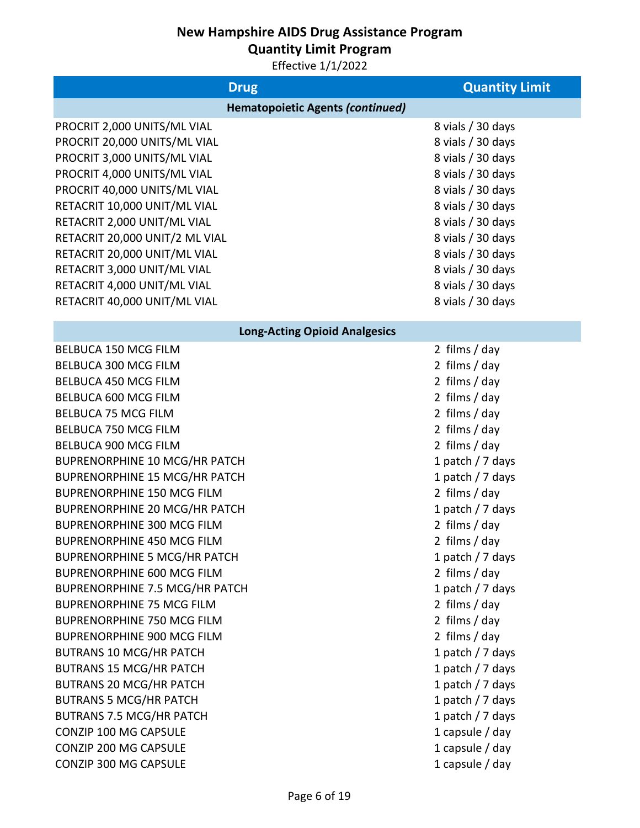**Quantity Limit Program**

| <b>Drug</b>                             | <b>Quantity Limit</b> |
|-----------------------------------------|-----------------------|
| <b>Hematopoietic Agents (continued)</b> |                       |
| PROCRIT 2,000 UNITS/ML VIAL             | 8 vials / 30 days     |
| PROCRIT 20,000 UNITS/ML VIAL            | 8 vials / 30 days     |
| PROCRIT 3,000 UNITS/ML VIAL             | 8 vials / 30 days     |
| PROCRIT 4,000 UNITS/ML VIAL             | 8 vials / 30 days     |
| PROCRIT 40,000 UNITS/ML VIAL            | 8 vials / 30 days     |
| RETACRIT 10,000 UNIT/ML VIAL            | 8 vials / 30 days     |
| RETACRIT 2,000 UNIT/ML VIAL             | 8 vials / 30 days     |
| RETACRIT 20,000 UNIT/2 ML VIAL          | 8 vials / 30 days     |
| RETACRIT 20,000 UNIT/ML VIAL            | 8 vials / 30 days     |
| RETACRIT 3,000 UNIT/ML VIAL             | 8 vials / 30 days     |
| RETACRIT 4,000 UNIT/ML VIAL             | 8 vials / 30 days     |
| RETACRIT 40,000 UNIT/ML VIAL            | 8 vials / 30 days     |
| <b>Long-Acting Opioid Analgesics</b>    |                       |
| <b>BELBUCA 150 MCG FILM</b>             | 2 films / day         |
| <b>BELBUCA 300 MCG FILM</b>             | 2 films / day         |
| <b>BELBUCA 450 MCG FILM</b>             | 2 films / day         |
| BELBUCA 600 MCG FILM                    | 2 films / day         |
| <b>BELBUCA 75 MCG FILM</b>              | 2 films / day         |
| <b>BELBUCA 750 MCG FILM</b>             | 2 films / day         |
| BELBUCA 900 MCG FILM                    | 2 films / day         |
| <b>BUPRENORPHINE 10 MCG/HR PATCH</b>    | 1 patch / 7 days      |
| <b>BUPRENORPHINE 15 MCG/HR PATCH</b>    | 1 patch $/$ 7 days    |
| <b>BUPRENORPHINE 150 MCG FILM</b>       | 2 films / day         |
| <b>BUPRENORPHINE 20 MCG/HR PATCH</b>    | 1 patch $/$ 7 days    |
| <b>BUPRENORPHINE 300 MCG FILM</b>       | 2 films / day         |
| <b>BUPRENORPHINE 450 MCG FILM</b>       | 2 films / day         |
| <b>BUPRENORPHINE 5 MCG/HR PATCH</b>     | 1 patch $/$ 7 days    |
| <b>BUPRENORPHINE 600 MCG FILM</b>       | 2 films / day         |
| <b>BUPRENORPHINE 7.5 MCG/HR PATCH</b>   | 1 patch $/$ 7 days    |
| <b>BUPRENORPHINE 75 MCG FILM</b>        | 2 films / day         |
| <b>BUPRENORPHINE 750 MCG FILM</b>       | 2 films / day         |
| <b>BUPRENORPHINE 900 MCG FILM</b>       | 2 films / day         |
| <b>BUTRANS 10 MCG/HR PATCH</b>          | 1 patch $/$ 7 days    |
| <b>BUTRANS 15 MCG/HR PATCH</b>          | 1 patch $/$ 7 days    |
| <b>BUTRANS 20 MCG/HR PATCH</b>          | 1 patch $/$ 7 days    |
| <b>BUTRANS 5 MCG/HR PATCH</b>           | 1 patch $/$ 7 days    |
| <b>BUTRANS 7.5 MCG/HR PATCH</b>         | 1 patch $/$ 7 days    |
| CONZIP 100 MG CAPSULE                   | 1 capsule $/$ day     |
| CONZIP 200 MG CAPSULE                   | 1 capsule $/$ day     |
| CONZIP 300 MG CAPSULE                   | 1 capsule / day       |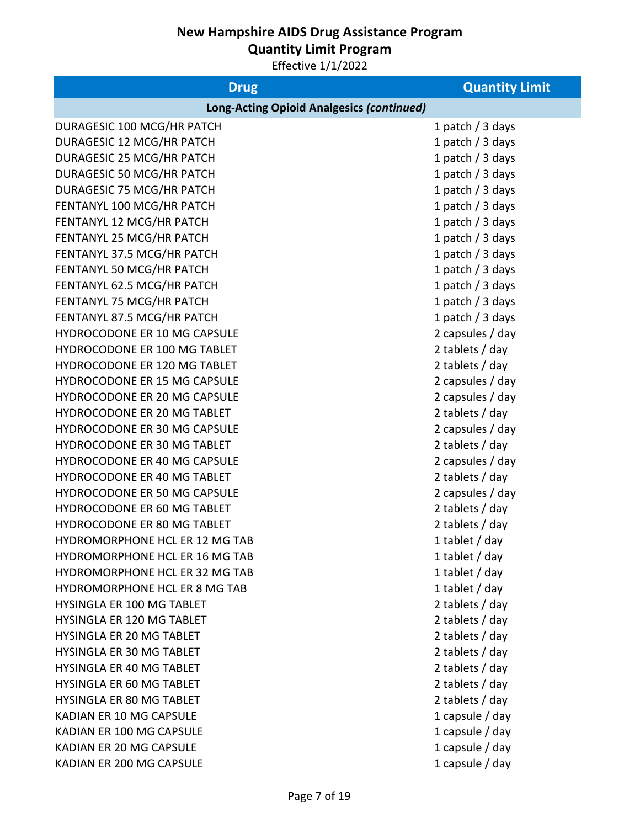**Quantity Limit Program**

| <b>Drug</b>                                      | <b>Quantity Limit</b> |
|--------------------------------------------------|-----------------------|
| <b>Long-Acting Opioid Analgesics (continued)</b> |                       |
| DURAGESIC 100 MCG/HR PATCH                       | 1 patch $/$ 3 days    |
| DURAGESIC 12 MCG/HR PATCH                        | 1 patch / 3 days      |
| DURAGESIC 25 MCG/HR PATCH                        | 1 patch / 3 days      |
| DURAGESIC 50 MCG/HR PATCH                        | 1 patch / 3 days      |
| DURAGESIC 75 MCG/HR PATCH                        | 1 patch / 3 days      |
| FENTANYL 100 MCG/HR PATCH                        | 1 patch / 3 days      |
| FENTANYL 12 MCG/HR PATCH                         | 1 patch / 3 days      |
| FENTANYL 25 MCG/HR PATCH                         | 1 patch / 3 days      |
| FENTANYL 37.5 MCG/HR PATCH                       | 1 patch / 3 days      |
| FENTANYL 50 MCG/HR PATCH                         | 1 patch / 3 days      |
| FENTANYL 62.5 MCG/HR PATCH                       | 1 patch / 3 days      |
| FENTANYL 75 MCG/HR PATCH                         | 1 patch / 3 days      |
| FENTANYL 87.5 MCG/HR PATCH                       | 1 patch / 3 days      |
| HYDROCODONE ER 10 MG CAPSULE                     | 2 capsules / day      |
| HYDROCODONE ER 100 MG TABLET                     | 2 tablets / day       |
| HYDROCODONE ER 120 MG TABLET                     | 2 tablets / day       |
| HYDROCODONE ER 15 MG CAPSULE                     | 2 capsules / day      |
| HYDROCODONE ER 20 MG CAPSULE                     | 2 capsules / day      |
| HYDROCODONE ER 20 MG TABLET                      | 2 tablets / day       |
| HYDROCODONE ER 30 MG CAPSULE                     | 2 capsules / day      |
| HYDROCODONE ER 30 MG TABLET                      | 2 tablets / day       |
| HYDROCODONE ER 40 MG CAPSULE                     | 2 capsules / day      |
| HYDROCODONE ER 40 MG TABLET                      | 2 tablets / day       |
| HYDROCODONE ER 50 MG CAPSULE                     | 2 capsules / day      |
| <b>HYDROCODONE ER 60 MG TABLET</b>               | 2 tablets / day       |
| HYDROCODONE ER 80 MG TABLET                      | 2 tablets / day       |
| <b>HYDROMORPHONE HCL ER 12 MG TAB</b>            | 1 tablet / day        |
| HYDROMORPHONE HCL ER 16 MG TAB                   | 1 tablet / day        |
| HYDROMORPHONE HCL ER 32 MG TAB                   | 1 tablet $/$ day      |
| HYDROMORPHONE HCL ER 8 MG TAB                    | 1 tablet $/$ day      |
| HYSINGLA ER 100 MG TABLET                        | 2 tablets / day       |
| HYSINGLA ER 120 MG TABLET                        | 2 tablets / day       |
| HYSINGLA ER 20 MG TABLET                         | 2 tablets / day       |
| <b>HYSINGLA ER 30 MG TABLET</b>                  | 2 tablets / day       |
| HYSINGLA ER 40 MG TABLET                         | 2 tablets / day       |
| <b>HYSINGLA ER 60 MG TABLET</b>                  | 2 tablets / day       |
| HYSINGLA ER 80 MG TABLET                         | 2 tablets / day       |
| <b>KADIAN ER 10 MG CAPSULE</b>                   | 1 capsule $/$ day     |
| KADIAN ER 100 MG CAPSULE                         | 1 capsule $/$ day     |
| KADIAN ER 20 MG CAPSULE                          | 1 capsule $/$ day     |
| KADIAN ER 200 MG CAPSULE                         | 1 capsule $/$ day     |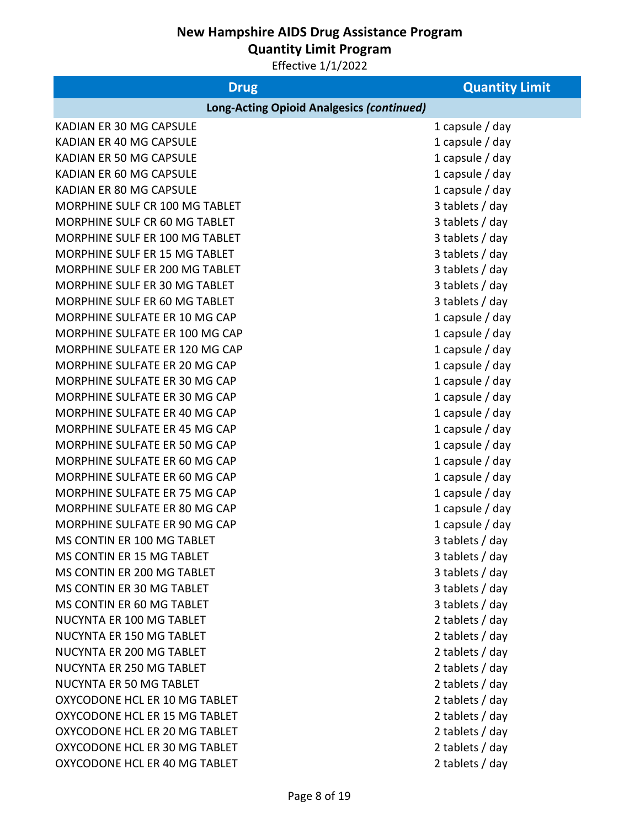**Quantity Limit Program**

| <b>Drug</b>                                      | <b>Quantity Limit</b> |
|--------------------------------------------------|-----------------------|
| <b>Long-Acting Opioid Analgesics (continued)</b> |                       |
| KADIAN ER 30 MG CAPSULE                          | 1 capsule $/$ day     |
| KADIAN ER 40 MG CAPSULE                          | 1 capsule $/$ day     |
| KADIAN ER 50 MG CAPSULE                          | 1 capsule $/$ day     |
| KADIAN ER 60 MG CAPSULE                          | 1 capsule $/$ day     |
| KADIAN ER 80 MG CAPSULE                          | 1 capsule $/$ day     |
| MORPHINE SULF CR 100 MG TABLET                   | 3 tablets / day       |
| MORPHINE SULF CR 60 MG TABLET                    | 3 tablets / day       |
| MORPHINE SULF ER 100 MG TABLET                   | 3 tablets / day       |
| MORPHINE SULF ER 15 MG TABLET                    | 3 tablets / day       |
| MORPHINE SULF ER 200 MG TABLET                   | 3 tablets / day       |
| MORPHINE SULF ER 30 MG TABLET                    | 3 tablets / day       |
| MORPHINE SULF ER 60 MG TABLET                    | 3 tablets / day       |
| MORPHINE SULFATE ER 10 MG CAP                    | 1 capsule $/$ day     |
| MORPHINE SULFATE ER 100 MG CAP                   | 1 capsule $/$ day     |
| MORPHINE SULFATE ER 120 MG CAP                   | 1 capsule / day       |
| MORPHINE SULFATE ER 20 MG CAP                    | 1 capsule $/$ day     |
| MORPHINE SULFATE ER 30 MG CAP                    | 1 capsule $/$ day     |
| MORPHINE SULFATE ER 30 MG CAP                    | 1 capsule / day       |
| MORPHINE SULFATE ER 40 MG CAP                    | 1 capsule $/$ day     |
| MORPHINE SULFATE ER 45 MG CAP                    | 1 capsule $/$ day     |
| MORPHINE SULFATE ER 50 MG CAP                    | 1 capsule $/$ day     |
| MORPHINE SULFATE ER 60 MG CAP                    | 1 capsule $/$ day     |
| MORPHINE SULFATE ER 60 MG CAP                    | 1 capsule $/$ day     |
| MORPHINE SULFATE ER 75 MG CAP                    | 1 capsule $/$ day     |
| MORPHINE SULFATE ER 80 MG CAP                    | 1 capsule $/$ day     |
| MORPHINE SULFATE ER 90 MG CAP                    | 1 capsule $/$ day     |
| MS CONTIN ER 100 MG TABLET                       | 3 tablets / day       |
| MS CONTIN ER 15 MG TABLET                        | 3 tablets / day       |
| MS CONTIN ER 200 MG TABLET                       | 3 tablets / day       |
| MS CONTIN ER 30 MG TABLET                        | 3 tablets / day       |
| MS CONTIN ER 60 MG TABLET                        | 3 tablets / day       |
| NUCYNTA ER 100 MG TABLET                         | 2 tablets / day       |
| NUCYNTA ER 150 MG TABLET                         | 2 tablets / day       |
| NUCYNTA ER 200 MG TABLET                         | 2 tablets / day       |
| NUCYNTA ER 250 MG TABLET                         | 2 tablets / day       |
| <b>NUCYNTA ER 50 MG TABLET</b>                   | 2 tablets / day       |
| OXYCODONE HCL ER 10 MG TABLET                    | 2 tablets / day       |
| OXYCODONE HCL ER 15 MG TABLET                    | 2 tablets / day       |
| OXYCODONE HCL ER 20 MG TABLET                    | 2 tablets / day       |
| OXYCODONE HCL ER 30 MG TABLET                    | 2 tablets / day       |
| OXYCODONE HCL ER 40 MG TABLET                    | 2 tablets / day       |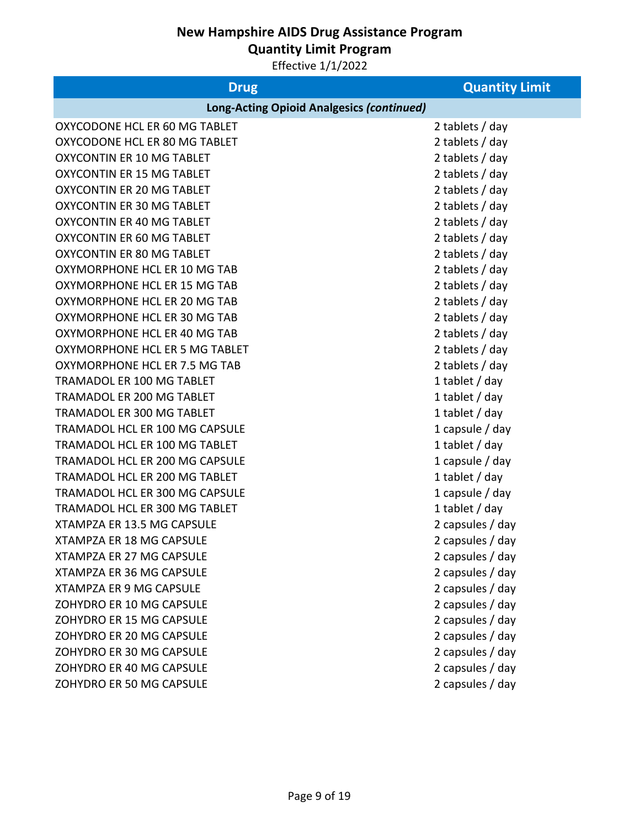**Quantity Limit Program**

| <b>Drug</b>                                      | <b>Quantity Limit</b> |
|--------------------------------------------------|-----------------------|
| <b>Long-Acting Opioid Analgesics (continued)</b> |                       |
| OXYCODONE HCL ER 60 MG TABLET                    | 2 tablets / day       |
| OXYCODONE HCL ER 80 MG TABLET                    | 2 tablets / day       |
| <b>OXYCONTIN ER 10 MG TABLET</b>                 | 2 tablets / day       |
| <b>OXYCONTIN ER 15 MG TABLET</b>                 | 2 tablets / day       |
| <b>OXYCONTIN ER 20 MG TABLET</b>                 | 2 tablets / day       |
| <b>OXYCONTIN ER 30 MG TABLET</b>                 | 2 tablets / day       |
| <b>OXYCONTIN ER 40 MG TABLET</b>                 | 2 tablets / day       |
| <b>OXYCONTIN ER 60 MG TABLET</b>                 | 2 tablets / day       |
| <b>OXYCONTIN ER 80 MG TABLET</b>                 | 2 tablets / day       |
| OXYMORPHONE HCL ER 10 MG TAB                     | 2 tablets / day       |
| OXYMORPHONE HCL ER 15 MG TAB                     | 2 tablets / day       |
| OXYMORPHONE HCL ER 20 MG TAB                     | 2 tablets / day       |
| OXYMORPHONE HCL ER 30 MG TAB                     | 2 tablets / day       |
| OXYMORPHONE HCL ER 40 MG TAB                     | 2 tablets / day       |
| OXYMORPHONE HCL ER 5 MG TABLET                   | 2 tablets / day       |
| OXYMORPHONE HCL ER 7.5 MG TAB                    | 2 tablets / day       |
| TRAMADOL ER 100 MG TABLET                        | 1 tablet $/$ day      |
| <b>TRAMADOL ER 200 MG TABLET</b>                 | 1 tablet $/$ day      |
| TRAMADOL ER 300 MG TABLET                        | 1 tablet $/$ day      |
| <b>TRAMADOL HCL ER 100 MG CAPSULE</b>            | 1 capsule $/$ day     |
| TRAMADOL HCL ER 100 MG TABLET                    | 1 tablet / day        |
| <b>TRAMADOL HCL ER 200 MG CAPSULE</b>            | 1 capsule $/$ day     |
| TRAMADOL HCL ER 200 MG TABLET                    | 1 tablet $/$ day      |
| TRAMADOL HCL ER 300 MG CAPSULE                   | 1 capsule / day       |
| TRAMADOL HCL ER 300 MG TABLET                    | 1 tablet $/$ day      |
| XTAMPZA ER 13.5 MG CAPSULE                       | 2 capsules / day      |
| <b>XTAMPZA ER 18 MG CAPSULE</b>                  | 2 capsules / day      |
| <b>XTAMPZA ER 27 MG CAPSULE</b>                  | 2 capsules / day      |
| XTAMPZA ER 36 MG CAPSULE                         | 2 capsules / day      |
| <b>XTAMPZA ER 9 MG CAPSULE</b>                   | 2 capsules / day      |
| ZOHYDRO ER 10 MG CAPSULE                         | 2 capsules / day      |
| ZOHYDRO ER 15 MG CAPSULE                         | 2 capsules / day      |
| ZOHYDRO ER 20 MG CAPSULE                         | 2 capsules / day      |
| ZOHYDRO ER 30 MG CAPSULE                         | 2 capsules / day      |
| ZOHYDRO ER 40 MG CAPSULE                         | 2 capsules / day      |
| ZOHYDRO ER 50 MG CAPSULE                         | 2 capsules / day      |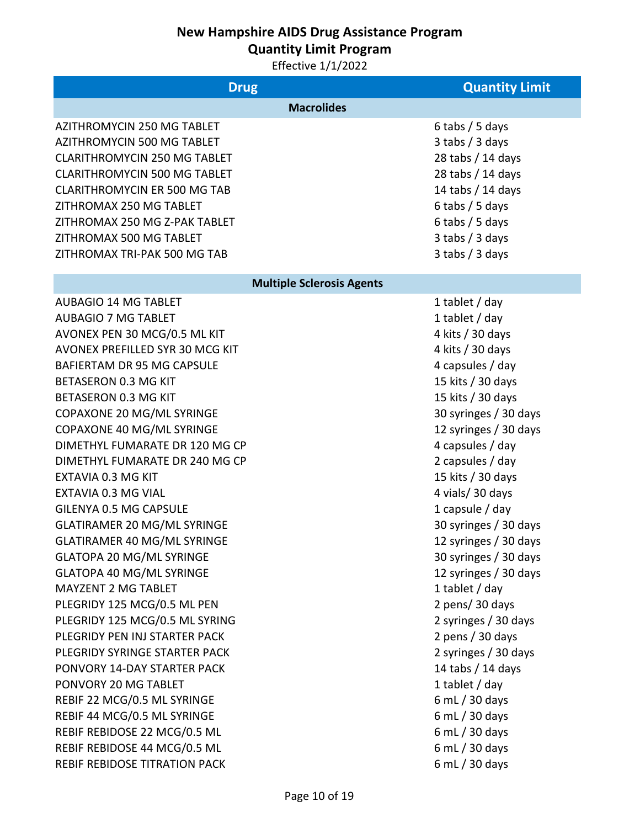**Quantity Limit Program**

| <b>Drug</b>                         | <b>Quantity Limit</b>            |
|-------------------------------------|----------------------------------|
|                                     | <b>Macrolides</b>                |
| <b>AZITHROMYCIN 250 MG TABLET</b>   | 6 tabs / 5 days                  |
| <b>AZITHROMYCIN 500 MG TABLET</b>   | $3$ tabs / $3$ days              |
| <b>CLARITHROMYCIN 250 MG TABLET</b> | 28 tabs / 14 days                |
| <b>CLARITHROMYCIN 500 MG TABLET</b> | 28 tabs / 14 days                |
| <b>CLARITHROMYCIN ER 500 MG TAB</b> | 14 tabs / 14 days                |
| ZITHROMAX 250 MG TABLET             | $6$ tabs / 5 days                |
| ZITHROMAX 250 MG Z-PAK TABLET       | $6$ tabs / 5 days                |
| ZITHROMAX 500 MG TABLET             | $3$ tabs / $3$ days              |
| ZITHROMAX TRI-PAK 500 MG TAB        | $3$ tabs / $3$ days              |
|                                     | <b>Multiple Sclerosis Agents</b> |
| <b>AUBAGIO 14 MG TABLET</b>         | 1 tablet / day                   |
| <b>AUBAGIO 7 MG TABLET</b>          | 1 tablet / day                   |
| AVONEX PEN 30 MCG/0.5 ML KIT        | 4 kits / 30 days                 |
| AVONEX PREFILLED SYR 30 MCG KIT     | 4 kits / 30 days                 |
| <b>BAFIERTAM DR 95 MG CAPSULE</b>   | 4 capsules / day                 |
| <b>BETASERON 0.3 MG KIT</b>         | 15 kits / 30 days                |
| <b>BETASERON 0.3 MG KIT</b>         | 15 kits / 30 days                |
| COPAXONE 20 MG/ML SYRINGE           | 30 syringes / 30 days            |
| COPAXONE 40 MG/ML SYRINGE           | 12 syringes / 30 days            |
| DIMETHYL FUMARATE DR 120 MG CP      | 4 capsules / day                 |
| DIMETHYL FUMARATE DR 240 MG CP      | 2 capsules / day                 |
| EXTAVIA 0.3 MG KIT                  | 15 kits / 30 days                |
| <b>EXTAVIA 0.3 MG VIAL</b>          | 4 vials/30 days                  |
| <b>GILENYA 0.5 MG CAPSULE</b>       | 1 capsule $/$ day                |
| <b>GLATIRAMER 20 MG/ML SYRINGE</b>  | 30 syringes / 30 days            |
| <b>GLATIRAMER 40 MG/ML SYRINGE</b>  | 12 syringes / 30 days            |
| <b>GLATOPA 20 MG/ML SYRINGE</b>     | 30 syringes / 30 days            |
| <b>GLATOPA 40 MG/ML SYRINGE</b>     | 12 syringes / 30 days            |
| <b>MAYZENT 2 MG TABLET</b>          | 1 tablet $/$ day                 |
| PLEGRIDY 125 MCG/0.5 ML PEN         | 2 pens/30 days                   |
| PLEGRIDY 125 MCG/0.5 ML SYRING      | 2 syringes / 30 days             |
| PLEGRIDY PEN INJ STARTER PACK       | 2 pens / 30 days                 |
| PLEGRIDY SYRINGE STARTER PACK       | 2 syringes / 30 days             |
| PONVORY 14-DAY STARTER PACK         | 14 tabs / 14 days                |
| PONVORY 20 MG TABLET                | 1 tablet $/$ day                 |
| REBIF 22 MCG/0.5 ML SYRINGE         | 6 mL $/$ 30 days                 |
| REBIF 44 MCG/0.5 ML SYRINGE         | 6 mL $/$ 30 days                 |
| REBIF REBIDOSE 22 MCG/0.5 ML        | 6 mL $/$ 30 days                 |
| REBIF REBIDOSE 44 MCG/0.5 ML        | 6 mL / 30 days                   |
| REBIF REBIDOSE TITRATION PACK       | 6 mL / 30 days                   |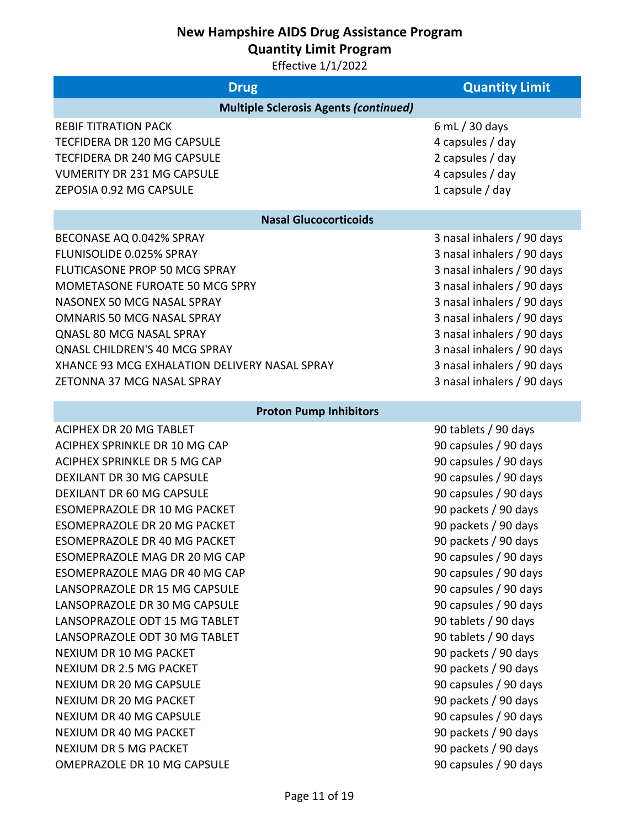**Quantity Limit Program**

| <b>Drug</b>                                   | <b>Quantity Limit</b>      |
|-----------------------------------------------|----------------------------|
| <b>Multiple Sclerosis Agents (continued)</b>  |                            |
| <b>REBIF TITRATION PACK</b>                   | 6 mL $/$ 30 days           |
| <b>TECFIDERA DR 120 MG CAPSULE</b>            | 4 capsules / day           |
| TECFIDERA DR 240 MG CAPSULE                   | 2 capsules / day           |
| <b>VUMERITY DR 231 MG CAPSULE</b>             | 4 capsules / day           |
| ZEPOSIA 0.92 MG CAPSULE                       | 1 capsule $/$ day          |
| <b>Nasal Glucocorticoids</b>                  |                            |
| BECONASE AQ 0.042% SPRAY                      | 3 nasal inhalers / 90 days |
| FLUNISOLIDE 0.025% SPRAY                      | 3 nasal inhalers / 90 days |
| FLUTICASONE PROP 50 MCG SPRAY                 | 3 nasal inhalers / 90 days |
| MOMETASONE FUROATE 50 MCG SPRY                | 3 nasal inhalers / 90 days |
| NASONEX 50 MCG NASAL SPRAY                    | 3 nasal inhalers / 90 days |
| <b>OMNARIS 50 MCG NASAL SPRAY</b>             | 3 nasal inhalers / 90 days |
| QNASL 80 MCG NASAL SPRAY                      | 3 nasal inhalers / 90 days |
| <b>QNASL CHILDREN'S 40 MCG SPRAY</b>          | 3 nasal inhalers / 90 days |
| XHANCE 93 MCG EXHALATION DELIVERY NASAL SPRAY | 3 nasal inhalers / 90 days |
| ZETONNA 37 MCG NASAL SPRAY                    | 3 nasal inhalers / 90 days |
| <b>Proton Pump Inhibitors</b>                 |                            |
| <b>ACIPHEX DR 20 MG TABLET</b>                | 90 tablets / 90 days       |
| ACIPHEX SPRINKLE DR 10 MG CAP                 | 90 capsules / 90 days      |
| <b>ACIPHEX SPRINKLE DR 5 MG CAP</b>           | 90 capsules / 90 days      |
| <b>DEXILANT DR 30 MG CAPSULE</b>              | 90 capsules / 90 days      |
| <b>DEXILANT DR 60 MG CAPSULE</b>              | 90 capsules / 90 days      |
| ESOMEPRAZOLE DR 10 MG PACKET                  | 90 packets / 90 days       |
| <b>ESOMEPRAZOLE DR 20 MG PACKET</b>           | 90 packets / 90 days       |
| <b>ESOMEPRAZOLE DR 40 MG PACKET</b>           | 90 packets / 90 days       |
| ESOMEPRAZOLE MAG DR 20 MG CAP                 | 90 capsules / 90 days      |
| ESOMEPRAZOLE MAG DR 40 MG CAP                 | 90 capsules / 90 days      |
| LANSOPRAZOLE DR 15 MG CAPSULE                 | 90 capsules / 90 days      |
| LANSOPRAZOLE DR 30 MG CAPSULE                 | 90 capsules / 90 days      |
| LANSOPRAZOLE ODT 15 MG TABLET                 | 90 tablets / 90 days       |
| LANSOPRAZOLE ODT 30 MG TABLET                 | 90 tablets / 90 days       |
| NEXIUM DR 10 MG PACKET                        | 90 packets / 90 days       |
| NEXIUM DR 2.5 MG PACKET                       | 90 packets / 90 days       |
| <b>NEXIUM DR 20 MG CAPSULE</b>                | 90 capsules / 90 days      |
| NEXIUM DR 20 MG PACKET                        | 90 packets / 90 days       |
| <b>NEXIUM DR 40 MG CAPSULE</b>                | 90 capsules / 90 days      |
| NEXIUM DR 40 MG PACKET                        | 90 packets / 90 days       |
| <b>NEXIUM DR 5 MG PACKET</b>                  | 90 packets / 90 days       |
| OMEPRAZOLE DR 10 MG CAPSULE                   | 90 capsules / 90 days      |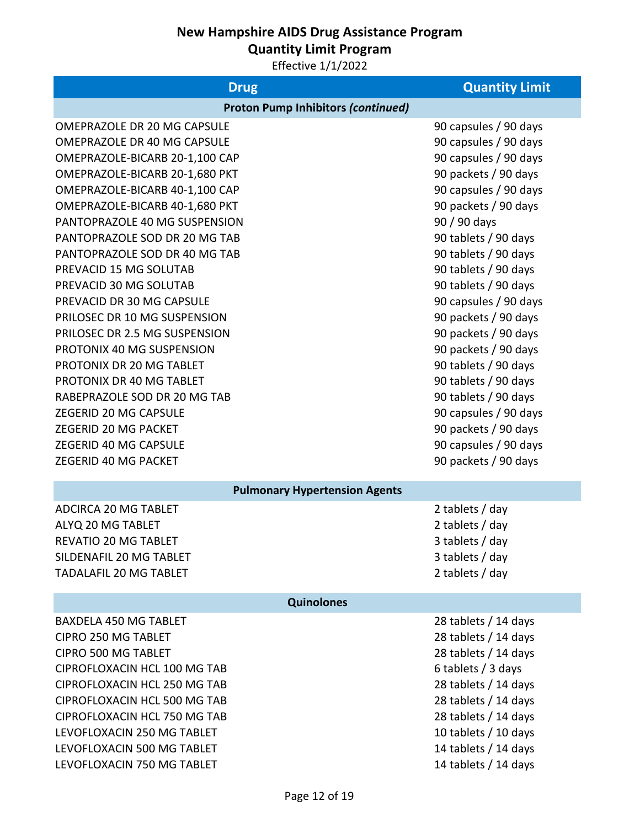**Quantity Limit Program**

| <b>Drug</b>                               | <b>Quantity Limit</b> |
|-------------------------------------------|-----------------------|
| <b>Proton Pump Inhibitors (continued)</b> |                       |
| <b>OMEPRAZOLE DR 20 MG CAPSULE</b>        | 90 capsules / 90 days |
| <b>OMEPRAZOLE DR 40 MG CAPSULE</b>        | 90 capsules / 90 days |
| OMEPRAZOLE-BICARB 20-1,100 CAP            | 90 capsules / 90 days |
| OMEPRAZOLE-BICARB 20-1,680 PKT            | 90 packets / 90 days  |
| OMEPRAZOLE-BICARB 40-1,100 CAP            | 90 capsules / 90 days |
| OMEPRAZOLE-BICARB 40-1,680 PKT            | 90 packets / 90 days  |
| PANTOPRAZOLE 40 MG SUSPENSION             | 90 / 90 days          |
| PANTOPRAZOLE SOD DR 20 MG TAB             | 90 tablets / 90 days  |
| PANTOPRAZOLE SOD DR 40 MG TAB             | 90 tablets / 90 days  |
| PREVACID 15 MG SOLUTAB                    | 90 tablets / 90 days  |
| PREVACID 30 MG SOLUTAB                    | 90 tablets / 90 days  |
| PREVACID DR 30 MG CAPSULE                 | 90 capsules / 90 days |
| PRILOSEC DR 10 MG SUSPENSION              | 90 packets / 90 days  |
| PRILOSEC DR 2.5 MG SUSPENSION             | 90 packets / 90 days  |
| PROTONIX 40 MG SUSPENSION                 | 90 packets / 90 days  |
| PROTONIX DR 20 MG TABLET                  | 90 tablets / 90 days  |
| PROTONIX DR 40 MG TABLET                  | 90 tablets / 90 days  |
| RABEPRAZOLE SOD DR 20 MG TAB              | 90 tablets / 90 days  |
| ZEGERID 20 MG CAPSULE                     | 90 capsules / 90 days |
| ZEGERID 20 MG PACKET                      | 90 packets / 90 days  |
| ZEGERID 40 MG CAPSULE                     | 90 capsules / 90 days |
| ZEGERID 40 MG PACKET                      | 90 packets / 90 days  |
| <b>Pulmonary Hypertension Agents</b>      |                       |
| <b>ADCIRCA 20 MG TABLET</b>               | 2 tablets / day       |
| ALYQ 20 MG TABLET                         | 2 tablets / day       |
| REVATIO 20 MG TABLET                      | 3 tablets / day       |
| SILDENAFIL 20 MG TABLET                   | 3 tablets / day       |
| <b>TADALAFIL 20 MG TABLET</b>             | 2 tablets / day       |
|                                           |                       |
| Quinolones                                |                       |
| <b>BAXDELA 450 MG TABLET</b>              | 28 tablets / 14 days  |
| CIPRO 250 MG TABLET                       | 28 tablets / 14 days  |
| CIPRO 500 MG TABLET                       | 28 tablets / 14 days  |
| CIPROFLOXACIN HCL 100 MG TAB              | 6 tablets / 3 days    |
| CIPROFLOXACIN HCL 250 MG TAB              | 28 tablets / 14 days  |
| CIPROFLOXACIN HCL 500 MG TAB              | 28 tablets / 14 days  |
| CIPROFLOXACIN HCL 750 MG TAB              | 28 tablets / 14 days  |
| LEVOFLOXACIN 250 MG TABLET                | 10 tablets / 10 days  |
| LEVOFLOXACIN 500 MG TABLET                | 14 tablets / 14 days  |
| LEVOFLOXACIN 750 MG TABLET                | 14 tablets / 14 days  |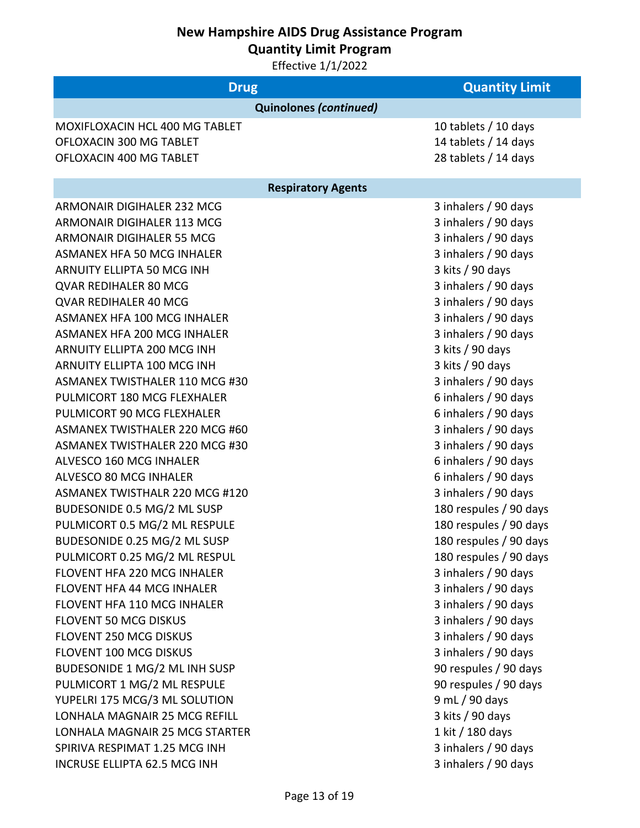**Quantity Limit Program**

| <b>Drug</b>                                                                                                                                                                                                                                                                                                                                                                                                                                                                                                                                                                                                                                                                                                                                                                                                                          | <b>Quantity Limit</b>                                                                                                                                                                                                                                                                                                                                                                                                                                                                                                                                                                                                                    |
|--------------------------------------------------------------------------------------------------------------------------------------------------------------------------------------------------------------------------------------------------------------------------------------------------------------------------------------------------------------------------------------------------------------------------------------------------------------------------------------------------------------------------------------------------------------------------------------------------------------------------------------------------------------------------------------------------------------------------------------------------------------------------------------------------------------------------------------|------------------------------------------------------------------------------------------------------------------------------------------------------------------------------------------------------------------------------------------------------------------------------------------------------------------------------------------------------------------------------------------------------------------------------------------------------------------------------------------------------------------------------------------------------------------------------------------------------------------------------------------|
| <b>Quinolones (continued)</b>                                                                                                                                                                                                                                                                                                                                                                                                                                                                                                                                                                                                                                                                                                                                                                                                        |                                                                                                                                                                                                                                                                                                                                                                                                                                                                                                                                                                                                                                          |
| <b>MOXIFLOXACIN HCL 400 MG TABLET</b><br>OFLOXACIN 300 MG TABLET<br>OFLOXACIN 400 MG TABLET                                                                                                                                                                                                                                                                                                                                                                                                                                                                                                                                                                                                                                                                                                                                          | 10 tablets / 10 days<br>14 tablets / 14 days<br>28 tablets / 14 days                                                                                                                                                                                                                                                                                                                                                                                                                                                                                                                                                                     |
| <b>Respiratory Agents</b>                                                                                                                                                                                                                                                                                                                                                                                                                                                                                                                                                                                                                                                                                                                                                                                                            |                                                                                                                                                                                                                                                                                                                                                                                                                                                                                                                                                                                                                                          |
| ARMONAIR DIGIHALER 232 MCG<br>ARMONAIR DIGIHALER 113 MCG<br>ARMONAIR DIGIHALER 55 MCG<br><b>ASMANEX HFA 50 MCG INHALER</b><br>ARNUITY ELLIPTA 50 MCG INH<br>QVAR REDIHALER 80 MCG<br>QVAR REDIHALER 40 MCG<br>ASMANEX HFA 100 MCG INHALER<br>ASMANEX HFA 200 MCG INHALER<br>ARNUITY ELLIPTA 200 MCG INH<br>ARNUITY ELLIPTA 100 MCG INH<br>ASMANEX TWISTHALER 110 MCG #30<br>PULMICORT 180 MCG FLEXHALER<br>PULMICORT 90 MCG FLEXHALER<br>ASMANEX TWISTHALER 220 MCG #60<br>ASMANEX TWISTHALER 220 MCG #30<br>ALVESCO 160 MCG INHALER<br>ALVESCO 80 MCG INHALER<br>ASMANEX TWISTHALR 220 MCG #120<br>BUDESONIDE 0.5 MG/2 ML SUSP<br>PULMICORT 0.5 MG/2 ML RESPULE<br>BUDESONIDE 0.25 MG/2 ML SUSP<br>PULMICORT 0.25 MG/2 ML RESPUL<br>FLOVENT HFA 220 MCG INHALER<br>FLOVENT HFA 44 MCG INHALER<br><b>FLOVENT HFA 110 MCG INHALER</b> | 3 inhalers / 90 days<br>3 inhalers / 90 days<br>3 inhalers / 90 days<br>3 inhalers / 90 days<br>3 kits / 90 days<br>3 inhalers / 90 days<br>3 inhalers / 90 days<br>3 inhalers / 90 days<br>3 inhalers / 90 days<br>3 kits / 90 days<br>3 kits / 90 days<br>3 inhalers / 90 days<br>6 inhalers / 90 days<br>6 inhalers / 90 days<br>3 inhalers / 90 days<br>3 inhalers / 90 days<br>6 inhalers / 90 days<br>6 inhalers / 90 days<br>3 inhalers / 90 days<br>180 respules / 90 days<br>180 respules / 90 days<br>180 respules / 90 days<br>180 respules / 90 days<br>3 inhalers / 90 days<br>3 inhalers / 90 days<br>3 inhalers / 90 days |
| <b>FLOVENT 50 MCG DISKUS</b>                                                                                                                                                                                                                                                                                                                                                                                                                                                                                                                                                                                                                                                                                                                                                                                                         | 3 inhalers / 90 days                                                                                                                                                                                                                                                                                                                                                                                                                                                                                                                                                                                                                     |
| FLOVENT 250 MCG DISKUS<br>FLOVENT 100 MCG DISKUS                                                                                                                                                                                                                                                                                                                                                                                                                                                                                                                                                                                                                                                                                                                                                                                     | 3 inhalers / 90 days<br>3 inhalers / 90 days                                                                                                                                                                                                                                                                                                                                                                                                                                                                                                                                                                                             |
| BUDESONIDE 1 MG/2 ML INH SUSP<br>PULMICORT 1 MG/2 ML RESPULE                                                                                                                                                                                                                                                                                                                                                                                                                                                                                                                                                                                                                                                                                                                                                                         | 90 respules / 90 days<br>90 respules / 90 days                                                                                                                                                                                                                                                                                                                                                                                                                                                                                                                                                                                           |
| YUPELRI 175 MCG/3 ML SOLUTION                                                                                                                                                                                                                                                                                                                                                                                                                                                                                                                                                                                                                                                                                                                                                                                                        | 9 mL / 90 days                                                                                                                                                                                                                                                                                                                                                                                                                                                                                                                                                                                                                           |
| LONHALA MAGNAIR 25 MCG REFILL                                                                                                                                                                                                                                                                                                                                                                                                                                                                                                                                                                                                                                                                                                                                                                                                        | 3 kits / 90 days                                                                                                                                                                                                                                                                                                                                                                                                                                                                                                                                                                                                                         |
| LONHALA MAGNAIR 25 MCG STARTER                                                                                                                                                                                                                                                                                                                                                                                                                                                                                                                                                                                                                                                                                                                                                                                                       | 1 kit / 180 days                                                                                                                                                                                                                                                                                                                                                                                                                                                                                                                                                                                                                         |
| SPIRIVA RESPIMAT 1.25 MCG INH                                                                                                                                                                                                                                                                                                                                                                                                                                                                                                                                                                                                                                                                                                                                                                                                        | 3 inhalers / 90 days                                                                                                                                                                                                                                                                                                                                                                                                                                                                                                                                                                                                                     |
| INCRUSE ELLIPTA 62.5 MCG INH                                                                                                                                                                                                                                                                                                                                                                                                                                                                                                                                                                                                                                                                                                                                                                                                         | 3 inhalers / 90 days                                                                                                                                                                                                                                                                                                                                                                                                                                                                                                                                                                                                                     |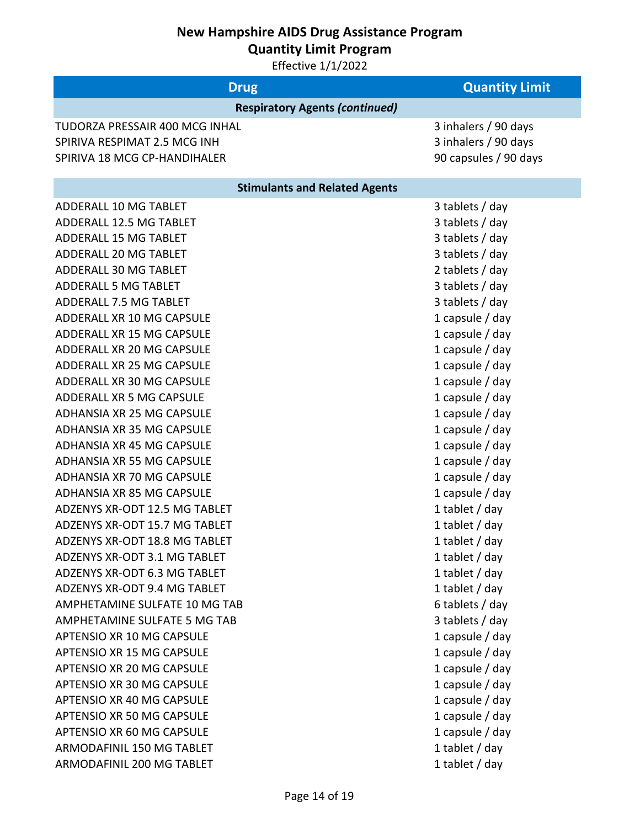**Quantity Limit Program**

| <b>Drug</b>                           | <b>Quantity Limit</b> |
|---------------------------------------|-----------------------|
| <b>Respiratory Agents (continued)</b> |                       |
| TUDORZA PRESSAIR 400 MCG INHAL        | 3 inhalers / 90 days  |
| SPIRIVA RESPIMAT 2.5 MCG INH          | 3 inhalers / 90 days  |
| SPIRIVA 18 MCG CP-HANDIHALER          | 90 capsules / 90 days |
| <b>Stimulants and Related Agents</b>  |                       |
| ADDERALL 10 MG TABLET                 | 3 tablets / day       |
| ADDERALL 12.5 MG TABLET               | 3 tablets / day       |
| <b>ADDERALL 15 MG TABLET</b>          | 3 tablets / day       |
| ADDERALL 20 MG TABLET                 | 3 tablets / day       |
| ADDERALL 30 MG TABLET                 | 2 tablets / day       |
| <b>ADDERALL 5 MG TABLET</b>           | 3 tablets / day       |
| ADDERALL 7.5 MG TABLET                | 3 tablets / day       |
| ADDERALL XR 10 MG CAPSULE             | 1 capsule $/$ day     |
| ADDERALL XR 15 MG CAPSULE             | 1 capsule / day       |
| ADDERALL XR 20 MG CAPSULE             | 1 capsule / day       |
| ADDERALL XR 25 MG CAPSULE             | 1 capsule / day       |
| ADDERALL XR 30 MG CAPSULE             | 1 capsule / day       |
| ADDERALL XR 5 MG CAPSULE              | 1 capsule / day       |
| <b>ADHANSIA XR 25 MG CAPSULE</b>      | 1 capsule / day       |
| ADHANSIA XR 35 MG CAPSULE             | 1 capsule / day       |
| <b>ADHANSIA XR 45 MG CAPSULE</b>      | 1 capsule $/$ day     |
| ADHANSIA XR 55 MG CAPSULE             | 1 capsule $/$ day     |
| ADHANSIA XR 70 MG CAPSULE             | 1 capsule / day       |
| ADHANSIA XR 85 MG CAPSULE             | 1 capsule / day       |
| ADZENYS XR-ODT 12.5 MG TABLET         | 1 tablet $/$ day      |
| ADZENYS XR-ODT 15.7 MG TABLET         | 1 tablet $/$ day      |
| ADZENYS XR-ODT 18.8 MG TABLET         | 1 tablet / day        |
| ADZENYS XR-ODT 3.1 MG TABLET          | 1 tablet / day        |
| ADZENYS XR-ODT 6.3 MG TABLET          | 1 tablet $/$ day      |
| ADZENYS XR-ODT 9.4 MG TABLET          | 1 tablet $/$ day      |
| AMPHETAMINE SULFATE 10 MG TAB         | 6 tablets / day       |
| AMPHETAMINE SULFATE 5 MG TAB          | 3 tablets / day       |
| APTENSIO XR 10 MG CAPSULE             | 1 capsule $/$ day     |
| <b>APTENSIO XR 15 MG CAPSULE</b>      | 1 capsule / day       |
| APTENSIO XR 20 MG CAPSULE             | 1 capsule / day       |
| APTENSIO XR 30 MG CAPSULE             | 1 capsule $/$ day     |
| APTENSIO XR 40 MG CAPSULE             | 1 capsule $/$ day     |
| APTENSIO XR 50 MG CAPSULE             | 1 capsule / day       |
| APTENSIO XR 60 MG CAPSULE             | 1 capsule $/$ day     |
| ARMODAFINIL 150 MG TABLET             | 1 tablet $/$ day      |
| ARMODAFINIL 200 MG TABLET             | 1 tablet / day        |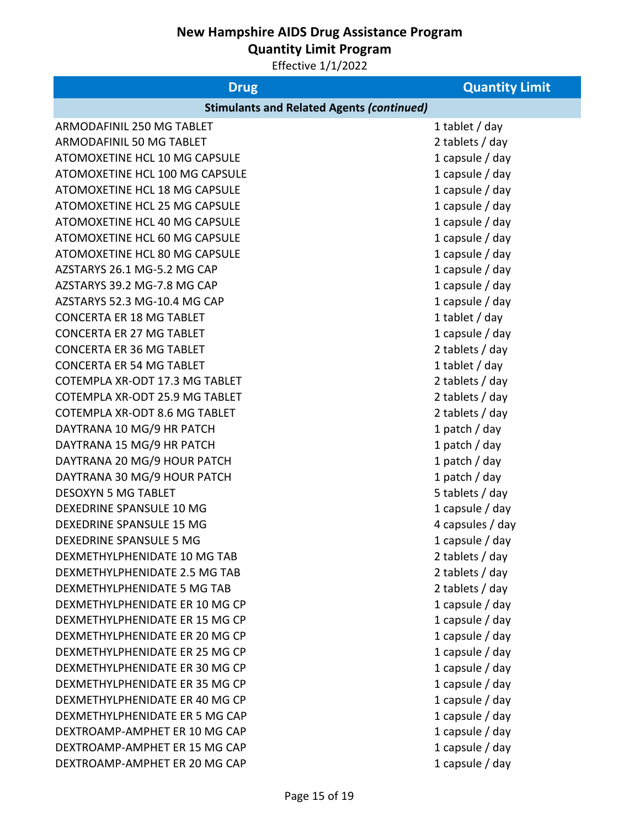**Quantity Limit Program**

| <b>Drug</b>                                      | <b>Quantity Limit</b> |  |
|--------------------------------------------------|-----------------------|--|
| <b>Stimulants and Related Agents (continued)</b> |                       |  |
| ARMODAFINIL 250 MG TABLET                        | 1 tablet / day        |  |
| ARMODAFINIL 50 MG TABLET                         | 2 tablets / day       |  |
| ATOMOXETINE HCL 10 MG CAPSULE                    | 1 capsule $/$ day     |  |
| ATOMOXETINE HCL 100 MG CAPSULE                   | 1 capsule $/$ day     |  |
| ATOMOXETINE HCL 18 MG CAPSULE                    | 1 capsule $/$ day     |  |
| ATOMOXETINE HCL 25 MG CAPSULE                    | 1 capsule $/$ day     |  |
| ATOMOXETINE HCL 40 MG CAPSULE                    | 1 capsule / day       |  |
| ATOMOXETINE HCL 60 MG CAPSULE                    | 1 capsule $/$ day     |  |
| ATOMOXETINE HCL 80 MG CAPSULE                    | 1 capsule $/$ day     |  |
| AZSTARYS 26.1 MG-5.2 MG CAP                      | 1 capsule $/$ day     |  |
| AZSTARYS 39.2 MG-7.8 MG CAP                      | 1 capsule / day       |  |
| AZSTARYS 52.3 MG-10.4 MG CAP                     | 1 capsule / day       |  |
| <b>CONCERTA ER 18 MG TABLET</b>                  | 1 tablet / day        |  |
| <b>CONCERTA ER 27 MG TABLET</b>                  | 1 capsule / day       |  |
| <b>CONCERTA ER 36 MG TABLET</b>                  | 2 tablets / day       |  |
| <b>CONCERTA ER 54 MG TABLET</b>                  | 1 tablet $/$ day      |  |
| COTEMPLA XR-ODT 17.3 MG TABLET                   | 2 tablets / day       |  |
| COTEMPLA XR-ODT 25.9 MG TABLET                   | 2 tablets / day       |  |
| COTEMPLA XR-ODT 8.6 MG TABLET                    | 2 tablets / day       |  |
| DAYTRANA 10 MG/9 HR PATCH                        | 1 patch / day         |  |
| DAYTRANA 15 MG/9 HR PATCH                        | 1 patch / day         |  |
| DAYTRANA 20 MG/9 HOUR PATCH                      | 1 patch / day         |  |
| DAYTRANA 30 MG/9 HOUR PATCH                      | 1 patch / day         |  |
| <b>DESOXYN 5 MG TABLET</b>                       | 5 tablets / day       |  |
| DEXEDRINE SPANSULE 10 MG                         | 1 capsule / day       |  |
| DEXEDRINE SPANSULE 15 MG                         | 4 capsules / day      |  |
| DEXEDRINE SPANSULE 5 MG                          | 1 capsule / day       |  |
| DEXMETHYLPHENIDATE 10 MG TAB                     | 2 tablets / day       |  |
| DEXMETHYLPHENIDATE 2.5 MG TAB                    | 2 tablets / day       |  |
| DEXMETHYLPHENIDATE 5 MG TAB                      | 2 tablets / day       |  |
| DEXMETHYLPHENIDATE ER 10 MG CP                   | 1 capsule / day       |  |
| DEXMETHYLPHENIDATE ER 15 MG CP                   | 1 capsule / day       |  |
| DEXMETHYLPHENIDATE ER 20 MG CP                   | 1 capsule / day       |  |
| DEXMETHYLPHENIDATE ER 25 MG CP                   | 1 capsule / day       |  |
| DEXMETHYLPHENIDATE ER 30 MG CP                   | 1 capsule / day       |  |
| DEXMETHYLPHENIDATE ER 35 MG CP                   | 1 capsule $/$ day     |  |
| DEXMETHYLPHENIDATE ER 40 MG CP                   | 1 capsule / day       |  |
| DEXMETHYLPHENIDATE ER 5 MG CAP                   | 1 capsule / day       |  |
| DEXTROAMP-AMPHET ER 10 MG CAP                    | 1 capsule / day       |  |
| DEXTROAMP-AMPHET ER 15 MG CAP                    | 1 capsule / day       |  |
| DEXTROAMP-AMPHET ER 20 MG CAP                    | 1 capsule / day       |  |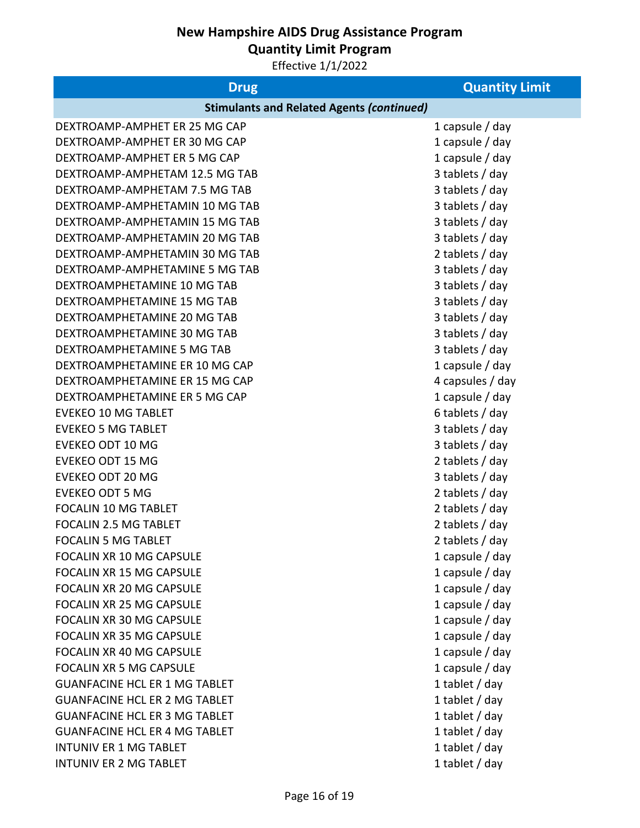**Quantity Limit Program**

| <b>Drug</b>                                      | <b>Quantity Limit</b> |
|--------------------------------------------------|-----------------------|
| <b>Stimulants and Related Agents (continued)</b> |                       |
| DEXTROAMP-AMPHET ER 25 MG CAP                    | 1 capsule $/$ day     |
| DEXTROAMP-AMPHET ER 30 MG CAP                    | 1 capsule $/$ day     |
| DEXTROAMP-AMPHET ER 5 MG CAP                     | 1 capsule $/$ day     |
| DEXTROAMP-AMPHETAM 12.5 MG TAB                   | 3 tablets / day       |
| DEXTROAMP-AMPHETAM 7.5 MG TAB                    | 3 tablets / day       |
| DEXTROAMP-AMPHETAMIN 10 MG TAB                   | 3 tablets / day       |
| DEXTROAMP-AMPHETAMIN 15 MG TAB                   | 3 tablets / day       |
| DEXTROAMP-AMPHETAMIN 20 MG TAB                   | 3 tablets / day       |
| DEXTROAMP-AMPHETAMIN 30 MG TAB                   | 2 tablets / day       |
| DEXTROAMP-AMPHETAMINE 5 MG TAB                   | 3 tablets / day       |
| DEXTROAMPHETAMINE 10 MG TAB                      | 3 tablets / day       |
| DEXTROAMPHETAMINE 15 MG TAB                      | 3 tablets / day       |
| DEXTROAMPHETAMINE 20 MG TAB                      | 3 tablets / day       |
| DEXTROAMPHETAMINE 30 MG TAB                      | 3 tablets / day       |
| DEXTROAMPHETAMINE 5 MG TAB                       | 3 tablets / day       |
| DEXTROAMPHETAMINE ER 10 MG CAP                   | 1 capsule $/$ day     |
| DEXTROAMPHETAMINE ER 15 MG CAP                   | 4 capsules / day      |
| DEXTROAMPHETAMINE ER 5 MG CAP                    | 1 capsule $/$ day     |
| <b>EVEKEO 10 MG TABLET</b>                       | 6 tablets / day       |
| <b>EVEKEO 5 MG TABLET</b>                        | 3 tablets / day       |
| <b>EVEKEO ODT 10 MG</b>                          | 3 tablets / day       |
| <b>EVEKEO ODT 15 MG</b>                          | 2 tablets / day       |
| <b>EVEKEO ODT 20 MG</b>                          | 3 tablets / day       |
| <b>EVEKEO ODT 5 MG</b>                           | 2 tablets / day       |
| <b>FOCALIN 10 MG TABLET</b>                      | 2 tablets / day       |
| FOCALIN 2.5 MG TABLET                            | 2 tablets / day       |
| <b>FOCALIN 5 MG TABLET</b>                       | 2 tablets / day       |
| <b>FOCALIN XR 10 MG CAPSULE</b>                  | 1 capsule $/$ day     |
| FOCALIN XR 15 MG CAPSULE                         | 1 capsule $/$ day     |
| FOCALIN XR 20 MG CAPSULE                         | 1 capsule $/$ day     |
| <b>FOCALIN XR 25 MG CAPSULE</b>                  | 1 capsule / day       |
| <b>FOCALIN XR 30 MG CAPSULE</b>                  | 1 capsule / day       |
| FOCALIN XR 35 MG CAPSULE                         | 1 capsule / day       |
| <b>FOCALIN XR 40 MG CAPSULE</b>                  | 1 capsule $/$ day     |
| <b>FOCALIN XR 5 MG CAPSULE</b>                   | 1 capsule $/$ day     |
| <b>GUANFACINE HCL ER 1 MG TABLET</b>             | 1 tablet $/$ day      |
| <b>GUANFACINE HCL ER 2 MG TABLET</b>             | 1 tablet $/$ day      |
| <b>GUANFACINE HCL ER 3 MG TABLET</b>             | 1 tablet / day        |
| <b>GUANFACINE HCL ER 4 MG TABLET</b>             | 1 tablet / day        |
| <b>INTUNIV ER 1 MG TABLET</b>                    | 1 tablet / day        |
| <b>INTUNIV ER 2 MG TABLET</b>                    | 1 tablet / day        |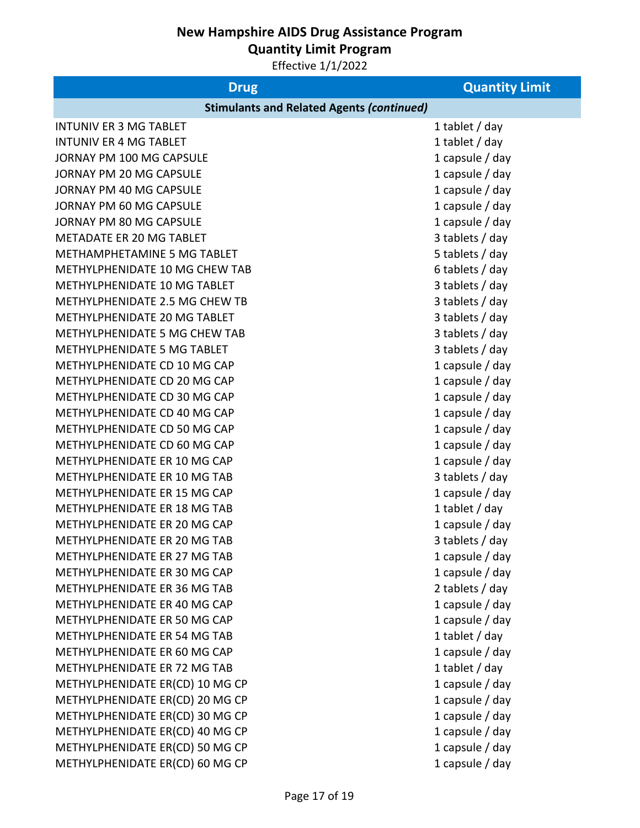**Quantity Limit Program**

| <b>Drug</b>                                      | <b>Quantity Limit</b> |
|--------------------------------------------------|-----------------------|
| <b>Stimulants and Related Agents (continued)</b> |                       |
| <b>INTUNIV ER 3 MG TABLET</b>                    | 1 tablet / day        |
| <b>INTUNIV ER 4 MG TABLET</b>                    | 1 tablet / day        |
| JORNAY PM 100 MG CAPSULE                         | 1 capsule $/$ day     |
| JORNAY PM 20 MG CAPSULE                          | 1 capsule $/$ day     |
| JORNAY PM 40 MG CAPSULE                          | 1 capsule $/$ day     |
| JORNAY PM 60 MG CAPSULE                          | 1 capsule / day       |
| JORNAY PM 80 MG CAPSULE                          | 1 capsule / day       |
| <b>METADATE ER 20 MG TABLET</b>                  | 3 tablets / day       |
| METHAMPHETAMINE 5 MG TABLET                      | 5 tablets / day       |
| METHYLPHENIDATE 10 MG CHEW TAB                   | 6 tablets / day       |
| METHYLPHENIDATE 10 MG TABLET                     | 3 tablets / day       |
| METHYLPHENIDATE 2.5 MG CHEW TB                   | 3 tablets / day       |
| METHYLPHENIDATE 20 MG TABLET                     | 3 tablets / day       |
| METHYLPHENIDATE 5 MG CHEW TAB                    | 3 tablets / day       |
| METHYLPHENIDATE 5 MG TABLET                      | 3 tablets / day       |
| METHYLPHENIDATE CD 10 MG CAP                     | 1 capsule $/$ day     |
| METHYLPHENIDATE CD 20 MG CAP                     | 1 capsule / day       |
| METHYLPHENIDATE CD 30 MG CAP                     | 1 capsule $/$ day     |
| METHYLPHENIDATE CD 40 MG CAP                     | 1 capsule $/$ day     |
| METHYLPHENIDATE CD 50 MG CAP                     | 1 capsule $/$ day     |
| METHYLPHENIDATE CD 60 MG CAP                     | 1 capsule $/$ day     |
| METHYLPHENIDATE ER 10 MG CAP                     | 1 capsule $/$ day     |
| METHYLPHENIDATE ER 10 MG TAB                     | 3 tablets / day       |
| METHYLPHENIDATE ER 15 MG CAP                     | 1 capsule $/$ day     |
| METHYLPHENIDATE ER 18 MG TAB                     | 1 tablet $/$ day      |
| METHYLPHENIDATE ER 20 MG CAP                     | 1 capsule $/$ day     |
| METHYLPHENIDATE ER 20 MG TAB                     | 3 tablets / day       |
| METHYLPHENIDATE ER 27 MG TAB                     | 1 capsule $/$ day     |
| METHYLPHENIDATE ER 30 MG CAP                     | 1 capsule / day       |
| METHYLPHENIDATE ER 36 MG TAB                     | 2 tablets / day       |
| METHYLPHENIDATE ER 40 MG CAP                     | 1 capsule / day       |
| METHYLPHENIDATE ER 50 MG CAP                     | 1 capsule / day       |
| METHYLPHENIDATE ER 54 MG TAB                     | 1 tablet / day        |
| METHYLPHENIDATE ER 60 MG CAP                     | 1 capsule $/$ day     |
| METHYLPHENIDATE ER 72 MG TAB                     | 1 tablet / day        |
| METHYLPHENIDATE ER(CD) 10 MG CP                  | 1 capsule $/$ day     |
| METHYLPHENIDATE ER(CD) 20 MG CP                  | 1 capsule $/$ day     |
| METHYLPHENIDATE ER(CD) 30 MG CP                  | 1 capsule / day       |
| METHYLPHENIDATE ER(CD) 40 MG CP                  | 1 capsule / day       |
| METHYLPHENIDATE ER(CD) 50 MG CP                  | 1 capsule / day       |
| METHYLPHENIDATE ER(CD) 60 MG CP                  | 1 capsule / day       |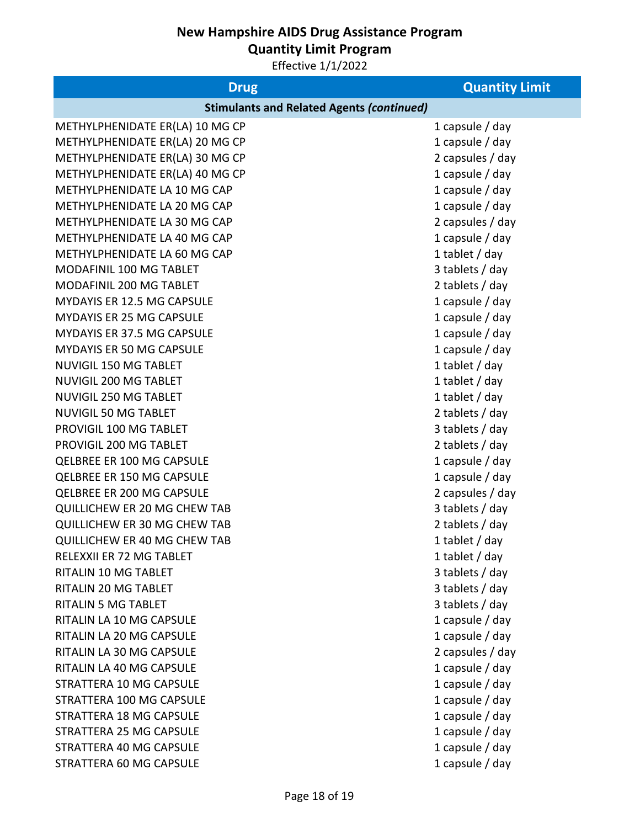**Quantity Limit Program**

| <b>Drug</b>                                      | <b>Quantity Limit</b> |  |
|--------------------------------------------------|-----------------------|--|
| <b>Stimulants and Related Agents (continued)</b> |                       |  |
| METHYLPHENIDATE ER(LA) 10 MG CP                  | 1 capsule $/$ day     |  |
| METHYLPHENIDATE ER(LA) 20 MG CP                  | 1 capsule $/$ day     |  |
| METHYLPHENIDATE ER(LA) 30 MG CP                  | 2 capsules / day      |  |
| METHYLPHENIDATE ER(LA) 40 MG CP                  | 1 capsule $/$ day     |  |
| METHYLPHENIDATE LA 10 MG CAP                     | 1 capsule / day       |  |
| METHYLPHENIDATE LA 20 MG CAP                     | 1 capsule $/$ day     |  |
| METHYLPHENIDATE LA 30 MG CAP                     | 2 capsules / day      |  |
| METHYLPHENIDATE LA 40 MG CAP                     | 1 capsule $/$ day     |  |
| METHYLPHENIDATE LA 60 MG CAP                     | 1 tablet / day        |  |
| MODAFINIL 100 MG TABLET                          | 3 tablets / day       |  |
| MODAFINIL 200 MG TABLET                          | 2 tablets / day       |  |
| MYDAYIS ER 12.5 MG CAPSULE                       | 1 capsule $/$ day     |  |
| <b>MYDAYIS ER 25 MG CAPSULE</b>                  | 1 capsule / day       |  |
| MYDAYIS ER 37.5 MG CAPSULE                       | 1 capsule $/$ day     |  |
| <b>MYDAYIS ER 50 MG CAPSULE</b>                  | 1 capsule $/$ day     |  |
| <b>NUVIGIL 150 MG TABLET</b>                     | 1 tablet $/$ day      |  |
| NUVIGIL 200 MG TABLET                            | 1 tablet $/$ day      |  |
| <b>NUVIGIL 250 MG TABLET</b>                     | 1 tablet $/$ day      |  |
| <b>NUVIGIL 50 MG TABLET</b>                      | 2 tablets / day       |  |
| PROVIGIL 100 MG TABLET                           | 3 tablets / day       |  |
| PROVIGIL 200 MG TABLET                           | 2 tablets / day       |  |
| QELBREE ER 100 MG CAPSULE                        | 1 capsule $/$ day     |  |
| QELBREE ER 150 MG CAPSULE                        | 1 capsule $/$ day     |  |
| QELBREE ER 200 MG CAPSULE                        | 2 capsules / day      |  |
| QUILLICHEW ER 20 MG CHEW TAB                     | 3 tablets / day       |  |
| QUILLICHEW ER 30 MG CHEW TAB                     | 2 tablets / day       |  |
| QUILLICHEW ER 40 MG CHEW TAB                     | 1 tablet / day        |  |
| RELEXXII ER 72 MG TABLET                         | 1 tablet / day        |  |
| <b>RITALIN 10 MG TABLET</b>                      | 3 tablets / day       |  |
| RITALIN 20 MG TABLET                             | 3 tablets / day       |  |
| <b>RITALIN 5 MG TABLET</b>                       | 3 tablets / day       |  |
| RITALIN LA 10 MG CAPSULE                         | 1 capsule / day       |  |
| RITALIN LA 20 MG CAPSULE                         | 1 capsule $/$ day     |  |
| RITALIN LA 30 MG CAPSULE                         | 2 capsules / day      |  |
| RITALIN LA 40 MG CAPSULE                         | 1 capsule $/$ day     |  |
| STRATTERA 10 MG CAPSULE                          | 1 capsule $/$ day     |  |
| STRATTERA 100 MG CAPSULE                         | 1 capsule $/$ day     |  |
| STRATTERA 18 MG CAPSULE                          | 1 capsule $/$ day     |  |
| STRATTERA 25 MG CAPSULE                          | 1 capsule $/$ day     |  |
| STRATTERA 40 MG CAPSULE                          | 1 capsule $/$ day     |  |
| STRATTERA 60 MG CAPSULE                          | 1 capsule / day       |  |